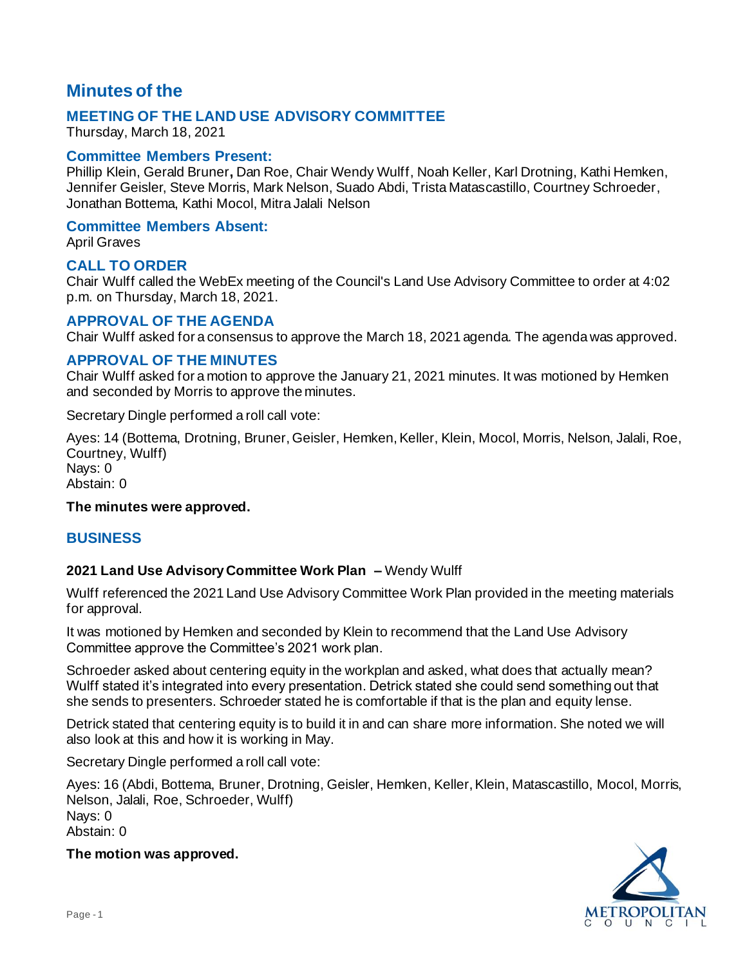# **Minutes of the**

## **MEETING OF THE LAND USE ADVISORY COMMITTEE**

Thursday, March 18, 2021

### **Committee Members Present:**

Phillip Klein, Gerald Bruner**,** Dan Roe, Chair Wendy Wulff, Noah Keller, Karl Drotning, Kathi Hemken, Jennifer Geisler, Steve Morris, Mark Nelson, Suado Abdi, Trista Matascastillo, Courtney Schroeder, Jonathan Bottema, Kathi Mocol, Mitra Jalali Nelson

#### **Committee Members Absent:**

April Graves

#### **CALL TO ORDER**

Chair Wulff called the WebEx meeting of the Council's Land Use Advisory Committee to order at 4:02 p.m. on Thursday, March 18, 2021.

### **APPROVAL OF THE AGENDA**

Chair Wulff asked for a consensus to approve the March 18, 2021 agenda. The agenda was approved.

#### **APPROVAL OF THE MINUTES**

Chair Wulff asked for a motion to approve the January 21, 2021 minutes. It was motioned by Hemken and seconded by Morris to approve the minutes.

Secretary Dingle performed a roll call vote:

Ayes: 14 (Bottema, Drotning, Bruner, Geisler, Hemken, Keller, Klein, Mocol, Morris, Nelson, Jalali, Roe, Courtney, Wulff) Nays: 0

Abstain: 0

#### **The minutes were approved.**

#### **BUSINESS**

#### **2021 Land Use Advisory Committee Work Plan –** Wendy Wulff

Wulff referenced the 2021 Land Use Advisory Committee Work Plan provided in the meeting materials for approval.

It was motioned by Hemken and seconded by Klein to recommend that the Land Use Advisory Committee approve the Committee's 2021 work plan.

Schroeder asked about centering equity in the workplan and asked, what does that actually mean? Wulff stated it's integrated into every presentation. Detrick stated she could send something out that she sends to presenters. Schroeder stated he is comfortable if that is the plan and equity lense.

Detrick stated that centering equity is to build it in and can share more information. She noted we will also look at this and how it is working in May.

Secretary Dingle performed a roll call vote:

Ayes: 16 (Abdi, Bottema, Bruner, Drotning, Geisler, Hemken, Keller, Klein, Matascastillo, Mocol, Morris, Nelson, Jalali, Roe, Schroeder, Wulff) Nays: 0 Abstain: 0

**The motion was approved.**

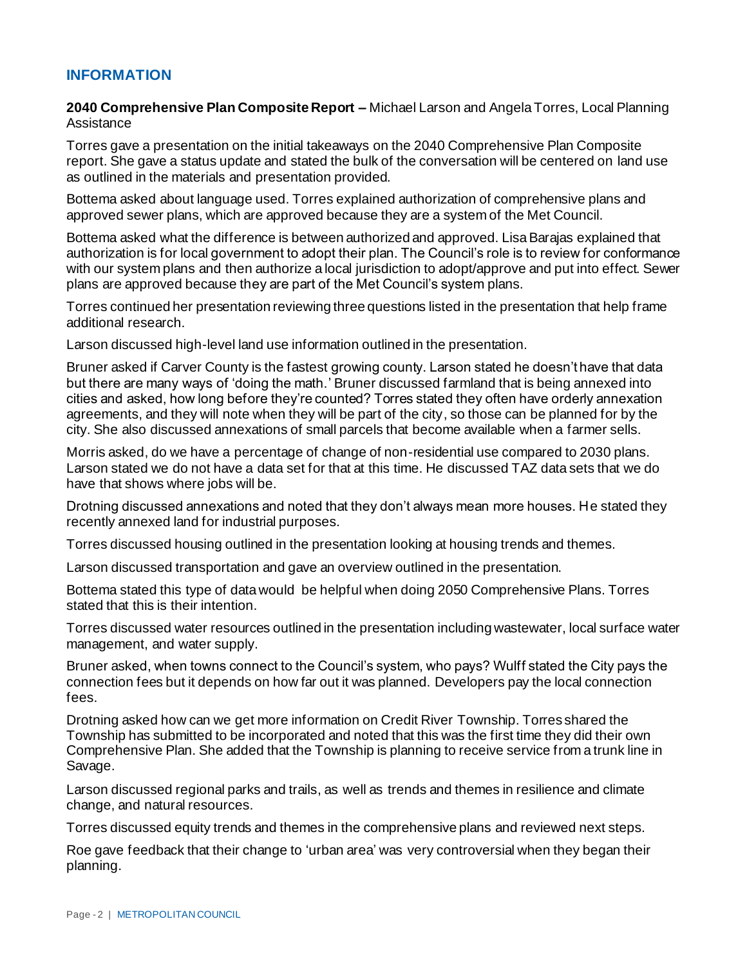# **INFORMATION**

**2040 Comprehensive Plan Composite Report –** Michael Larson and Angela Torres, Local Planning **Assistance** 

Torres gave a presentation on the initial takeaways on the 2040 Comprehensive Plan Composite report. She gave a status update and stated the bulk of the conversation will be centered on land use as outlined in the materials and presentation provided.

Bottema asked about language used. Torres explained authorization of comprehensive plans and approved sewer plans, which are approved because they are a system of the Met Council.

Bottema asked what the difference is between authorized and approved. Lisa Barajas explained that authorization is for local government to adopt their plan. The Council's role is to review for conformance with our system plans and then authorize a local jurisdiction to adopt/approve and put into effect. Sewer plans are approved because they are part of the Met Council's system plans.

Torres continued her presentation reviewing three questions listed in the presentation that help frame additional research.

Larson discussed high-level land use information outlined in the presentation.

Bruner asked if Carver County is the fastest growing county. Larson stated he doesn't have that data but there are many ways of 'doing the math.' Bruner discussed farmland that is being annexed into cities and asked, how long before they're counted? Torres stated they often have orderly annexation agreements, and they will note when they will be part of the city, so those can be planned for by the city. She also discussed annexations of small parcels that become available when a farmer sells.

Morris asked, do we have a percentage of change of non-residential use compared to 2030 plans. Larson stated we do not have a data set for that at this time. He discussed TAZ data sets that we do have that shows where jobs will be.

Drotning discussed annexations and noted that they don't always mean more houses. He stated they recently annexed land for industrial purposes.

Torres discussed housing outlined in the presentation looking at housing trends and themes.

Larson discussed transportation and gave an overview outlined in the presentation.

Bottema stated this type of data would be helpful when doing 2050 Comprehensive Plans. Torres stated that this is their intention.

Torres discussed water resources outlined in the presentation including wastewater, local surface water management, and water supply.

Bruner asked, when towns connect to the Council's system, who pays? Wulff stated the City pays the connection fees but it depends on how far out it was planned. Developers pay the local connection fees.

Drotning asked how can we get more information on Credit River Township. Torres shared the Township has submitted to be incorporated and noted that this was the first time they did their own Comprehensive Plan. She added that the Township is planning to receive service from a trunk line in Savage.

Larson discussed regional parks and trails, as well as trends and themes in resilience and climate change, and natural resources.

Torres discussed equity trends and themes in the comprehensive plans and reviewed next steps.

Roe gave feedback that their change to 'urban area' was very controversial when they began their planning.